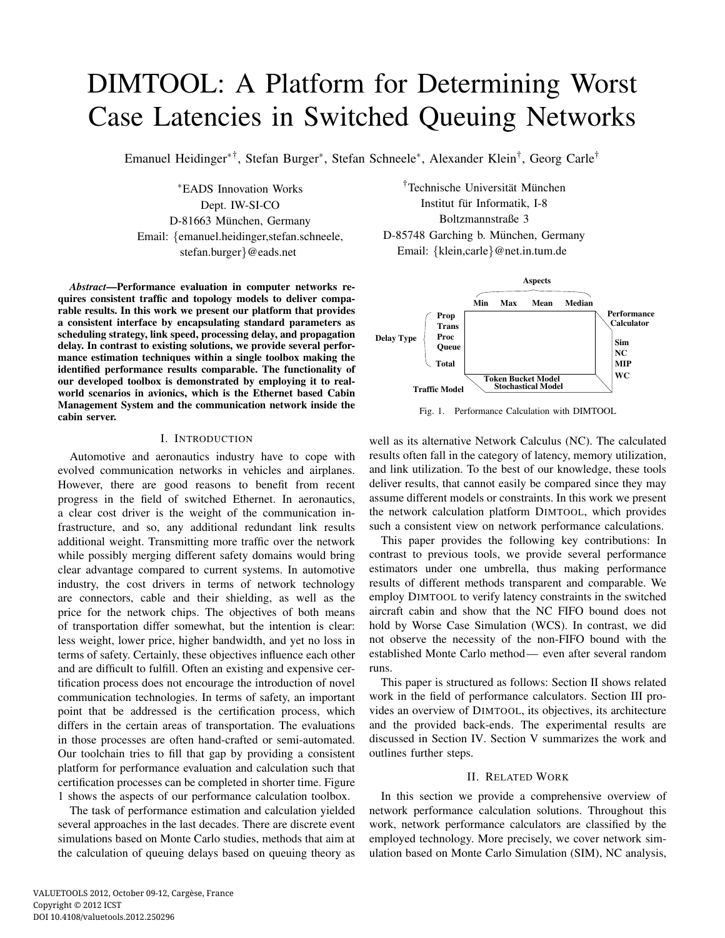# DIMTOOL: A Platform for Determining Worst Case Latencies in Switched Queuing Networks

Emanuel Heidinger∗† , Stefan Burger<sup>∗</sup> , Stefan Schneele<sup>∗</sup> , Alexander Klein† , Georg Carle†

<sup>∗</sup>EADS Innovation Works Dept. IW-SI-CO D-81663 München, Germany Email: {emanuel.heidinger,stefan.schneele, stefan.burger}@eads.net

*Abstract***—Performance evaluation in computer networks requires consistent traffic and topology models to deliver comparable results. In this work we present our platform that provides a consistent interface by encapsulating standard parameters as scheduling strategy, link speed, processing delay, and propagation delay. In contrast to existing solutions, we provide several performance estimation techniques within a single toolbox making the identified performance results comparable. The functionality of our developed toolbox is demonstrated by employing it to realworld scenarios in avionics, which is the Ethernet based Cabin Management System and the communication network inside the cabin server.**

# I. INTRODUCTION

Automotive and aeronautics industry have to cope with evolved communication networks in vehicles and airplanes. However, there are good reasons to benefit from recent progress in the field of switched Ethernet. In aeronautics, a clear cost driver is the weight of the communication infrastructure, and so, any additional redundant link results additional weight. Transmitting more traffic over the network while possibly merging different safety domains would bring clear advantage compared to current systems. In automotive industry, the cost drivers in terms of network technology are connectors, cable and their shielding, as well as the price for the network chips. The objectives of both means of transportation differ somewhat, but the intention is clear: less weight, lower price, higher bandwidth, and yet no loss in terms of safety. Certainly, these objectives influence each other and are difficult to fulfill. Often an existing and expensive certification process does not encourage the introduction of novel communication technologies. In terms of safety, an important point that be addressed is the certification process, which differs in the certain areas of transportation. The evaluations in those processes are often hand-crafted or semi-automated. Our toolchain tries to fill that gap by providing a consistent platform for performance evaluation and calculation such that certification processes can be completed in shorter time. Figure 1 shows the aspects of our performance calculation toolbox.

The task of performance estimation and calculation yielded several approaches in the last decades. There are discrete event simulations based on Monte Carlo studies, methods that aim at the calculation of queuing delays based on queuing theory as

†Technische Universität München Institut für Informatik, I-8 Boltzmannstraße 3 D-85748 Garching b. München, Germany Email: {klein,carle}@net.in.tum.de



Fig. 1. Performance Calculation with DIMTOOL

well as its alternative Network Calculus (NC). The calculated results often fall in the category of latency, memory utilization, and link utilization. To the best of our knowledge, these tools deliver results, that cannot easily be compared since they may assume different models or constraints. In this work we present the network calculation platform DIMTOOL, which provides such a consistent view on network performance calculations.

This paper provides the following key contributions: In contrast to previous tools, we provide several performance estimators under one umbrella, thus making performance results of different methods transparent and comparable. We employ DIMTOOL to verify latency constraints in the switched aircraft cabin and show that the NC FIFO bound does not hold by Worse Case Simulation (WCS). In contrast, we did not observe the necessity of the non-FIFO bound with the established Monte Carlo method— even after several random runs.

This paper is structured as follows: Section II shows related work in the field of performance calculators. Section III provides an overview of DIMTOOL, its objectives, its architecture and the provided back-ends. The experimental results are discussed in Section IV. Section V summarizes the work and outlines further steps.

## II. RELATED WORK

In this section we provide a comprehensive overview of network performance calculation solutions. Throughout this work, network performance calculators are classified by the employed technology. More precisely, we cover network simulation based on Monte Carlo Simulation (SIM), NC analysis,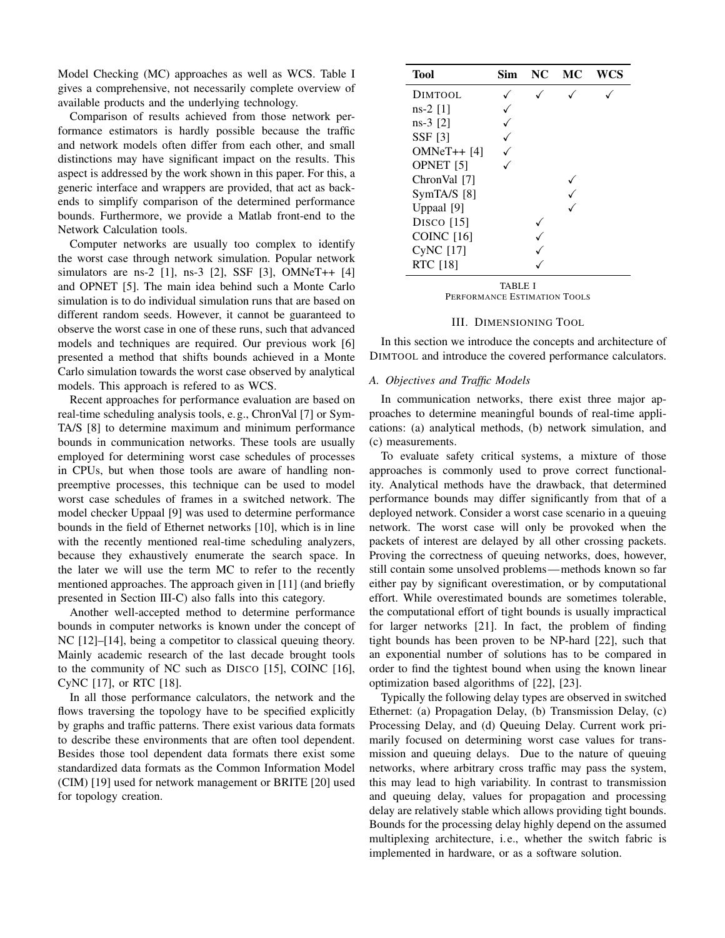Model Checking (MC) approaches as well as WCS. Table I gives a comprehensive, not necessarily complete overview of available products and the underlying technology.

Comparison of results achieved from those network performance estimators is hardly possible because the traffic and network models often differ from each other, and small distinctions may have significant impact on the results. This aspect is addressed by the work shown in this paper. For this, a generic interface and wrappers are provided, that act as backends to simplify comparison of the determined performance bounds. Furthermore, we provide a Matlab front-end to the Network Calculation tools.

Computer networks are usually too complex to identify the worst case through network simulation. Popular network simulators are ns-2 [1], ns-3 [2], SSF [3], OMNeT++ [4] and OPNET [5]. The main idea behind such a Monte Carlo simulation is to do individual simulation runs that are based on different random seeds. However, it cannot be guaranteed to observe the worst case in one of these runs, such that advanced models and techniques are required. Our previous work [6] presented a method that shifts bounds achieved in a Monte Carlo simulation towards the worst case observed by analytical models. This approach is refered to as WCS.

Recent approaches for performance evaluation are based on real-time scheduling analysis tools, e.g., ChronVal [7] or Sym-TA/S [8] to determine maximum and minimum performance bounds in communication networks. These tools are usually employed for determining worst case schedules of processes in CPUs, but when those tools are aware of handling nonpreemptive processes, this technique can be used to model worst case schedules of frames in a switched network. The model checker Uppaal [9] was used to determine performance bounds in the field of Ethernet networks [10], which is in line with the recently mentioned real-time scheduling analyzers, because they exhaustively enumerate the search space. In the later we will use the term MC to refer to the recently mentioned approaches. The approach given in [11] (and briefly presented in Section III-C) also falls into this category.

Another well-accepted method to determine performance bounds in computer networks is known under the concept of NC [12]–[14], being a competitor to classical queuing theory. Mainly academic research of the last decade brought tools to the community of NC such as DISCO [15], COINC [16], CyNC [17], or RTC [18].

In all those performance calculators, the network and the flows traversing the topology have to be specified explicitly by graphs and traffic patterns. There exist various data formats to describe these environments that are often tool dependent. Besides those tool dependent data formats there exist some standardized data formats as the Common Information Model (CIM) [19] used for network management or BRITE [20] used for topology creation.

| Tool                     | Sim | NC | MС | <b>WCS</b> |
|--------------------------|-----|----|----|------------|
| DIMTOOL                  |     |    |    |            |
| $ns-2$ [1]               |     |    |    |            |
| $ns-3$ [2]               |     |    |    |            |
| <b>SSF</b> [3]           |     |    |    |            |
| $OMNeT++ [4]$            |     |    |    |            |
| OPNET [5]                |     |    |    |            |
| ChronVal [7]             |     |    |    |            |
| SymTA/S [8]              |     |    |    |            |
| Uppaal [9]               |     |    |    |            |
| D <sub>ISCO</sub> $[15]$ |     |    |    |            |
| <b>COINC</b> [16]        |     |    |    |            |
| CyNC [17]                |     |    |    |            |
| <b>RTC</b> [18]          |     |    |    |            |
|                          |     |    |    |            |

TABLE I PERFORMANCE ESTIMATION TOOLS

## III. DIMENSIONING TOOL

In this section we introduce the concepts and architecture of DIMTOOL and introduce the covered performance calculators.

#### *A. Objectives and Traffic Models*

In communication networks, there exist three major approaches to determine meaningful bounds of real-time applications: (a) analytical methods, (b) network simulation, and (c) measurements.

To evaluate safety critical systems, a mixture of those approaches is commonly used to prove correct functionality. Analytical methods have the drawback, that determined performance bounds may differ significantly from that of a deployed network. Consider a worst case scenario in a queuing network. The worst case will only be provoked when the packets of interest are delayed by all other crossing packets. Proving the correctness of queuing networks, does, however, still contain some unsolved problems—methods known so far either pay by significant overestimation, or by computational effort. While overestimated bounds are sometimes tolerable, the computational effort of tight bounds is usually impractical for larger networks [21]. In fact, the problem of finding tight bounds has been proven to be NP-hard [22], such that an exponential number of solutions has to be compared in order to find the tightest bound when using the known linear optimization based algorithms of [22], [23].

Typically the following delay types are observed in switched Ethernet: (a) Propagation Delay, (b) Transmission Delay, (c) Processing Delay, and (d) Queuing Delay. Current work primarily focused on determining worst case values for transmission and queuing delays. Due to the nature of queuing networks, where arbitrary cross traffic may pass the system, this may lead to high variability. In contrast to transmission and queuing delay, values for propagation and processing delay are relatively stable which allows providing tight bounds. Bounds for the processing delay highly depend on the assumed multiplexing architecture, i.e., whether the switch fabric is implemented in hardware, or as a software solution.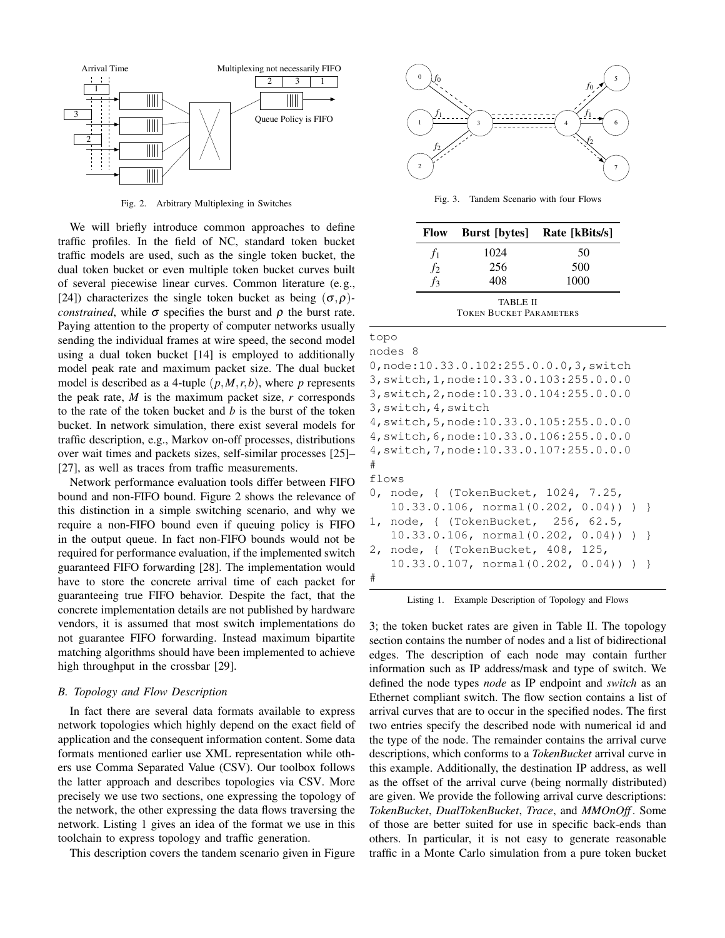

Fig. 2. Arbitrary Multiplexing in Switches

We will briefly introduce common approaches to define traffic profiles. In the field of NC, standard token bucket traffic models are used, such as the single token bucket, the dual token bucket or even multiple token bucket curves built of several piecewise linear curves. Common literature (e.g., [24]) characterizes the single token bucket as being  $(\sigma, \rho)$ *constrained*, while  $\sigma$  specifies the burst and  $\rho$  the burst rate. Paying attention to the property of computer networks usually sending the individual frames at wire speed, the second model using a dual token bucket [14] is employed to additionally model peak rate and maximum packet size. The dual bucket model is described as a 4-tuple  $(p, M, r, b)$ , where *p* represents the peak rate,  $M$  is the maximum packet size,  $r$  corresponds to the rate of the token bucket and *b* is the burst of the token bucket. In network simulation, there exist several models for traffic description, e.g., Markov on-off processes, distributions over wait times and packets sizes, self-similar processes [25]– [27], as well as traces from traffic measurements.

Network performance evaluation tools differ between FIFO bound and non-FIFO bound. Figure 2 shows the relevance of this distinction in a simple switching scenario, and why we require a non-FIFO bound even if queuing policy is FIFO in the output queue. In fact non-FIFO bounds would not be required for performance evaluation, if the implemented switch guaranteed FIFO forwarding [28]. The implementation would have to store the concrete arrival time of each packet for guaranteeing true FIFO behavior. Despite the fact, that the concrete implementation details are not published by hardware vendors, it is assumed that most switch implementations do not guarantee FIFO forwarding. Instead maximum bipartite matching algorithms should have been implemented to achieve high throughput in the crossbar [29].

# *B. Topology and Flow Description*

In fact there are several data formats available to express network topologies which highly depend on the exact field of application and the consequent information content. Some data formats mentioned earlier use XML representation while others use Comma Separated Value (CSV). Our toolbox follows the latter approach and describes topologies via CSV. More precisely we use two sections, one expressing the topology of the network, the other expressing the data flows traversing the network. Listing 1 gives an idea of the format we use in this toolchain to express topology and traffic generation.

This description covers the tandem scenario given in Figure



Fig. 3. Tandem Scenario with four Flows

| Flow                                       |      | <b>Burst [bytes]</b> Rate [kBits/s] |  |
|--------------------------------------------|------|-------------------------------------|--|
| $f_1$                                      | 1024 | 50                                  |  |
| f <sub>2</sub>                             | 256  | 500                                 |  |
| $f_3$                                      | 408  | 1000                                |  |
| TABLE II<br><b>TOKEN BUCKET PARAMETERS</b> |      |                                     |  |

| topo                                       |
|--------------------------------------------|
| nodes 8                                    |
| 0, node:10.33.0.102:255.0.0.0,3, switch    |
| 3, switch, 1, node: 10.33.0.103: 255.0.0.0 |
| 3, switch, 2, node: 10.33.0.104: 255.0.0.0 |
| 3, switch, 4, switch                       |
| 4, switch, 5, node: 10.33.0.105: 255.0.0.0 |
| 4, switch, 6, node: 10.33.0.106: 255.0.0.0 |
| 4, switch, 7, node: 10.33.0.107: 255.0.0.0 |
| #                                          |
| flows                                      |
| 0, node, { (TokenBucket, 1024, 7.25,       |
| $10.33.0.106$ , normal $(0.202, 0.04)$ ) } |
| 1, node, { (TokenBucket, 256, 62.5,        |
| $10.33.0.106$ , normal(0.202, 0.04)) ) }   |
| 2, node, { (TokenBucket, 408, 125,         |
| $10.33.0.107$ , normal(0.202, 0.04)) ) }   |
| #                                          |

Listing 1. Example Description of Topology and Flows

3; the token bucket rates are given in Table II. The topology section contains the number of nodes and a list of bidirectional edges. The description of each node may contain further information such as IP address/mask and type of switch. We defined the node types *node* as IP endpoint and *switch* as an Ethernet compliant switch. The flow section contains a list of arrival curves that are to occur in the specified nodes. The first two entries specify the described node with numerical id and the type of the node. The remainder contains the arrival curve descriptions, which conforms to a *TokenBucket* arrival curve in this example. Additionally, the destination IP address, as well as the offset of the arrival curve (being normally distributed) are given. We provide the following arrival curve descriptions: *TokenBucket*, *DualTokenBucket*, *Trace*, and *MMOnOff* . Some of those are better suited for use in specific back-ends than others. In particular, it is not easy to generate reasonable traffic in a Monte Carlo simulation from a pure token bucket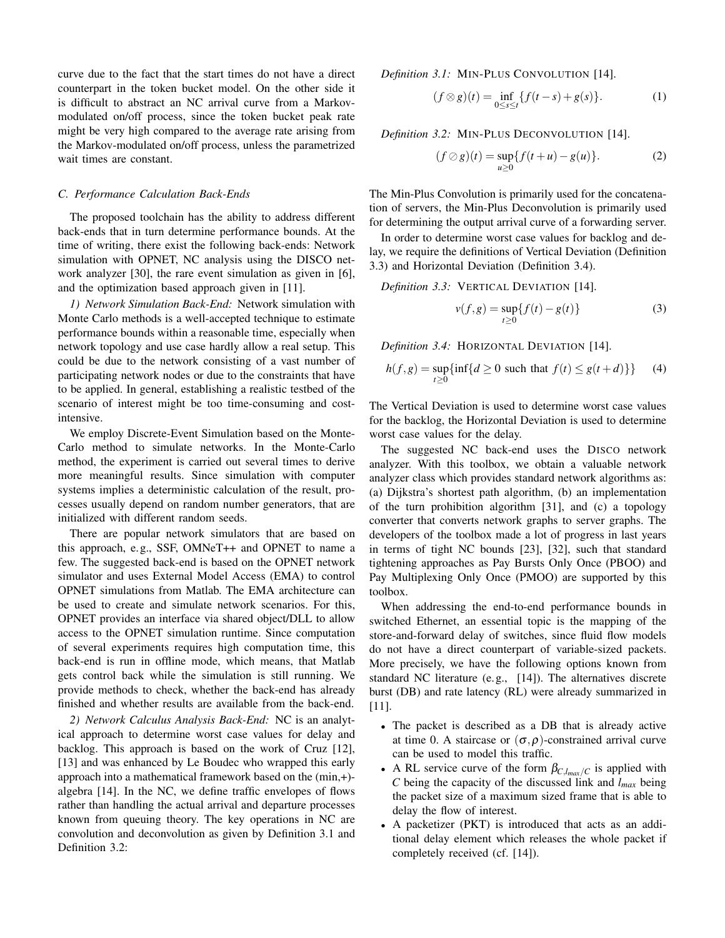curve due to the fact that the start times do not have a direct counterpart in the token bucket model. On the other side it is difficult to abstract an NC arrival curve from a Markovmodulated on/off process, since the token bucket peak rate might be very high compared to the average rate arising from the Markov-modulated on/off process, unless the parametrized wait times are constant.

## *C. Performance Calculation Back-Ends*

The proposed toolchain has the ability to address different back-ends that in turn determine performance bounds. At the time of writing, there exist the following back-ends: Network simulation with OPNET, NC analysis using the DISCO network analyzer [30], the rare event simulation as given in [6], and the optimization based approach given in [11].

*1) Network Simulation Back-End:* Network simulation with Monte Carlo methods is a well-accepted technique to estimate performance bounds within a reasonable time, especially when network topology and use case hardly allow a real setup. This could be due to the network consisting of a vast number of participating network nodes or due to the constraints that have to be applied. In general, establishing a realistic testbed of the scenario of interest might be too time-consuming and costintensive.

We employ Discrete-Event Simulation based on the Monte-Carlo method to simulate networks. In the Monte-Carlo method, the experiment is carried out several times to derive more meaningful results. Since simulation with computer systems implies a deterministic calculation of the result, processes usually depend on random number generators, that are initialized with different random seeds.

There are popular network simulators that are based on this approach, e.g., SSF, OMNeT++ and OPNET to name a few. The suggested back-end is based on the OPNET network simulator and uses External Model Access (EMA) to control OPNET simulations from Matlab. The EMA architecture can be used to create and simulate network scenarios. For this, OPNET provides an interface via shared object/DLL to allow access to the OPNET simulation runtime. Since computation of several experiments requires high computation time, this back-end is run in offline mode, which means, that Matlab gets control back while the simulation is still running. We provide methods to check, whether the back-end has already finished and whether results are available from the back-end.

*2) Network Calculus Analysis Back-End:* NC is an analytical approach to determine worst case values for delay and backlog. This approach is based on the work of Cruz [12], [13] and was enhanced by Le Boudec who wrapped this early approach into a mathematical framework based on the (min,+) algebra [14]. In the NC, we define traffic envelopes of flows rather than handling the actual arrival and departure processes known from queuing theory. The key operations in NC are convolution and deconvolution as given by Definition 3.1 and Definition 3.2:

*Definition 3.1:* MIN-PLUS CONVOLUTION [14].

$$
(f \otimes g)(t) = \inf_{0 \le s \le t} \{ f(t - s) + g(s) \}.
$$
 (1)

*Definition 3.2:* MIN-PLUS DECONVOLUTION [14].

$$
(f \oslash g)(t) = \sup_{u \ge 0} \{ f(t + u) - g(u) \}.
$$
 (2)

The Min-Plus Convolution is primarily used for the concatenation of servers, the Min-Plus Deconvolution is primarily used for determining the output arrival curve of a forwarding server.

In order to determine worst case values for backlog and delay, we require the definitions of Vertical Deviation (Definition 3.3) and Horizontal Deviation (Definition 3.4).

*Definition 3.3:* VERTICAL DEVIATION [14].

$$
v(f,g) = \sup_{t \ge 0} \{ f(t) - g(t) \}
$$
 (3)

*Definition 3.4:* HORIZONTAL DEVIATION [14].

$$
h(f,g) = \sup_{t \ge 0} \{ \inf \{ d \ge 0 \text{ such that } f(t) \le g(t+d) \} \} \tag{4}
$$

The Vertical Deviation is used to determine worst case values for the backlog, the Horizontal Deviation is used to determine worst case values for the delay.

The suggested NC back-end uses the DISCO network analyzer. With this toolbox, we obtain a valuable network analyzer class which provides standard network algorithms as: (a) Dijkstra's shortest path algorithm, (b) an implementation of the turn prohibition algorithm [31], and (c) a topology converter that converts network graphs to server graphs. The developers of the toolbox made a lot of progress in last years in terms of tight NC bounds [23], [32], such that standard tightening approaches as Pay Bursts Only Once (PBOO) and Pay Multiplexing Only Once (PMOO) are supported by this toolbox.

When addressing the end-to-end performance bounds in switched Ethernet, an essential topic is the mapping of the store-and-forward delay of switches, since fluid flow models do not have a direct counterpart of variable-sized packets. More precisely, we have the following options known from standard NC literature (e.g., [14]). The alternatives discrete burst (DB) and rate latency (RL) were already summarized in [11].

- The packet is described as a DB that is already active at time 0. A staircase or  $(\sigma, \rho)$ -constrained arrival curve can be used to model this traffic.
- A RL service curve of the form  $\beta_{C,lmax/C}$  is applied with *C* being the capacity of the discussed link and *lmax* being the packet size of a maximum sized frame that is able to delay the flow of interest.
- A packetizer (PKT) is introduced that acts as an additional delay element which releases the whole packet if completely received (cf. [14]).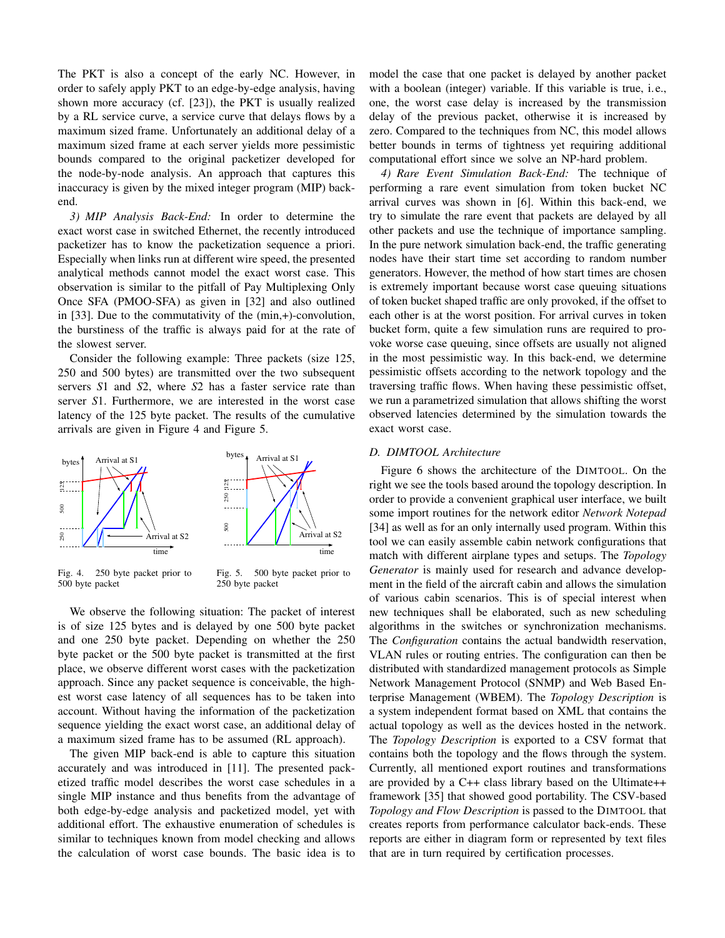The PKT is also a concept of the early NC. However, in order to safely apply PKT to an edge-by-edge analysis, having shown more accuracy (cf. [23]), the PKT is usually realized by a RL service curve, a service curve that delays flows by a maximum sized frame. Unfortunately an additional delay of a maximum sized frame at each server yields more pessimistic bounds compared to the original packetizer developed for the node-by-node analysis. An approach that captures this inaccuracy is given by the mixed integer program (MIP) backend.

*3) MIP Analysis Back-End:* In order to determine the exact worst case in switched Ethernet, the recently introduced packetizer has to know the packetization sequence a priori. Especially when links run at different wire speed, the presented analytical methods cannot model the exact worst case. This observation is similar to the pitfall of Pay Multiplexing Only Once SFA (PMOO-SFA) as given in [32] and also outlined in [33]. Due to the commutativity of the (min,+)-convolution, the burstiness of the traffic is always paid for at the rate of the slowest server.

Consider the following example: Three packets (size 125, 250 and 500 bytes) are transmitted over the two subsequent servers *S*1 and *S*2, where *S*2 has a faster service rate than server *S*1. Furthermore, we are interested in the worst case latency of the 125 byte packet. The results of the cumulative arrivals are given in Figure 4 and Figure 5.





Fig. 5. 500 byte packet prior to 250 byte packet

We observe the following situation: The packet of interest is of size 125 bytes and is delayed by one 500 byte packet and one 250 byte packet. Depending on whether the 250 byte packet or the 500 byte packet is transmitted at the first place, we observe different worst cases with the packetization approach. Since any packet sequence is conceivable, the highest worst case latency of all sequences has to be taken into account. Without having the information of the packetization sequence yielding the exact worst case, an additional delay of a maximum sized frame has to be assumed (RL approach).

The given MIP back-end is able to capture this situation accurately and was introduced in [11]. The presented packetized traffic model describes the worst case schedules in a single MIP instance and thus benefits from the advantage of both edge-by-edge analysis and packetized model, yet with additional effort. The exhaustive enumeration of schedules is similar to techniques known from model checking and allows the calculation of worst case bounds. The basic idea is to model the case that one packet is delayed by another packet with a boolean (integer) variable. If this variable is true, i.e., one, the worst case delay is increased by the transmission delay of the previous packet, otherwise it is increased by zero. Compared to the techniques from NC, this model allows better bounds in terms of tightness yet requiring additional computational effort since we solve an NP-hard problem.

*4) Rare Event Simulation Back-End:* The technique of performing a rare event simulation from token bucket NC arrival curves was shown in [6]. Within this back-end, we try to simulate the rare event that packets are delayed by all other packets and use the technique of importance sampling. In the pure network simulation back-end, the traffic generating nodes have their start time set according to random number generators. However, the method of how start times are chosen is extremely important because worst case queuing situations of token bucket shaped traffic are only provoked, if the offset to each other is at the worst position. For arrival curves in token bucket form, quite a few simulation runs are required to provoke worse case queuing, since offsets are usually not aligned in the most pessimistic way. In this back-end, we determine pessimistic offsets according to the network topology and the traversing traffic flows. When having these pessimistic offset, we run a parametrized simulation that allows shifting the worst observed latencies determined by the simulation towards the exact worst case.

#### *D. DIMTOOL Architecture*

Figure 6 shows the architecture of the DIMTOOL. On the right we see the tools based around the topology description. In order to provide a convenient graphical user interface, we built some import routines for the network editor *Network Notepad* [34] as well as for an only internally used program. Within this tool we can easily assemble cabin network configurations that match with different airplane types and setups. The *Topology Generator* is mainly used for research and advance development in the field of the aircraft cabin and allows the simulation of various cabin scenarios. This is of special interest when new techniques shall be elaborated, such as new scheduling algorithms in the switches or synchronization mechanisms. The *Configuration* contains the actual bandwidth reservation, VLAN rules or routing entries. The configuration can then be distributed with standardized management protocols as Simple Network Management Protocol (SNMP) and Web Based Enterprise Management (WBEM). The *Topology Description* is a system independent format based on XML that contains the actual topology as well as the devices hosted in the network. The *Topology Description* is exported to a CSV format that contains both the topology and the flows through the system. Currently, all mentioned export routines and transformations are provided by a C++ class library based on the Ultimate++ framework [35] that showed good portability. The CSV-based *Topology and Flow Description* is passed to the DIMTOOL that creates reports from performance calculator back-ends. These reports are either in diagram form or represented by text files that are in turn required by certification processes.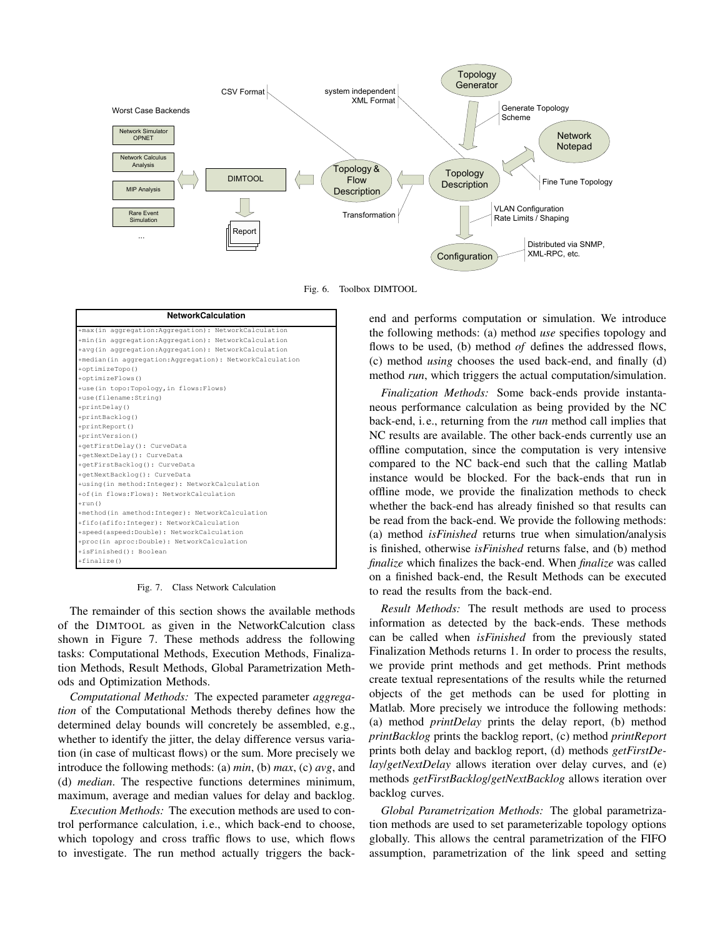

Fig. 6. Toolbox DIMTOOL

| <b>NetworkCalculation</b>                               |
|---------------------------------------------------------|
| +max(in aggregation:Aggregation): NetworkCalculation    |
| +min(in aggregation:Aggregation): NetworkCalculation    |
| +avg(in aggregation:Aggregation): NetworkCalculation    |
| +median(in aggregation:Aggregation): NetworkCalculation |
| +optimizeTopo()                                         |
| +optimizeFlows()                                        |
| +use(in topo:Topology, in flows:Flows)                  |
| +use(filename:String)                                   |
| +printDelay()                                           |
| +printBacklog()                                         |
| +printReport()                                          |
| +printVersion()                                         |
| +getFirstDelay(): CurveData                             |
| +qetNextDelay(): CurveData                              |
| +getFirstBacklog(): CurveData                           |
| +qetNextBackloq(): CurveData                            |
| +using(in method: Integer): NetworkCalculation          |
| +of(in flows:Flows): NetworkCalculation                 |
| $+run()$                                                |
| +method(in amethod: Integer): NetworkCalculation        |
| +fifo(afifo:Integer): NetworkCalculation                |
| +speed(aspeed:Double): NetworkCalculation               |
| +proc(in aproc:Double): NetworkCalculation              |
| +isFinished(): Boolean                                  |
| $+finalize()$                                           |

Fig. 7. Class Network Calculation

The remainder of this section shows the available methods of the DIMTOOL as given in the NetworkCalcution class shown in Figure 7. These methods address the following tasks: Computational Methods, Execution Methods, Finalization Methods, Result Methods, Global Parametrization Methods and Optimization Methods.

*Computational Methods:* The expected parameter *aggregation* of the Computational Methods thereby defines how the determined delay bounds will concretely be assembled, e.g., whether to identify the jitter, the delay difference versus variation (in case of multicast flows) or the sum. More precisely we introduce the following methods: (a) *min*, (b) *max*, (c) *avg*, and (d) *median*. The respective functions determines minimum, maximum, average and median values for delay and backlog.

*Execution Methods:* The execution methods are used to control performance calculation, i.e., which back-end to choose, which topology and cross traffic flows to use, which flows to investigate. The run method actually triggers the backend and performs computation or simulation. We introduce the following methods: (a) method *use* specifies topology and flows to be used, (b) method *of* defines the addressed flows, (c) method *using* chooses the used back-end, and finally (d) method *run*, which triggers the actual computation/simulation.

*Finalization Methods:* Some back-ends provide instantaneous performance calculation as being provided by the NC back-end, i.e., returning from the *run* method call implies that NC results are available. The other back-ends currently use an offline computation, since the computation is very intensive compared to the NC back-end such that the calling Matlab instance would be blocked. For the back-ends that run in offline mode, we provide the finalization methods to check whether the back-end has already finished so that results can be read from the back-end. We provide the following methods: (a) method *isFinished* returns true when simulation/analysis is finished, otherwise *isFinished* returns false, and (b) method *finalize* which finalizes the back-end. When *finalize* was called on a finished back-end, the Result Methods can be executed to read the results from the back-end.

*Result Methods:* The result methods are used to process information as detected by the back-ends. These methods can be called when *isFinished* from the previously stated Finalization Methods returns 1. In order to process the results, we provide print methods and get methods. Print methods create textual representations of the results while the returned objects of the get methods can be used for plotting in Matlab. More precisely we introduce the following methods: (a) method *printDelay* prints the delay report, (b) method *printBacklog* prints the backlog report, (c) method *printReport* prints both delay and backlog report, (d) methods *getFirstDelay*/*getNextDelay* allows iteration over delay curves, and (e) methods *getFirstBacklog*/*getNextBacklog* allows iteration over backlog curves.

*Global Parametrization Methods:* The global parametrization methods are used to set parameterizable topology options globally. This allows the central parametrization of the FIFO assumption, parametrization of the link speed and setting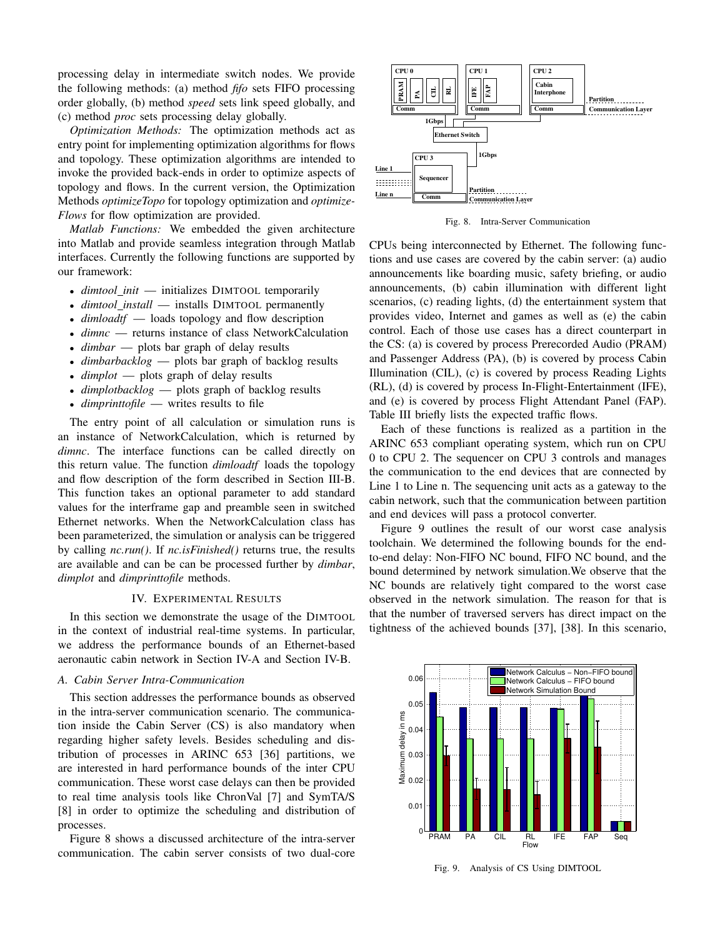processing delay in intermediate switch nodes. We provide the following methods: (a) method *fifo* sets FIFO processing order globally, (b) method *speed* sets link speed globally, and (c) method *proc* sets processing delay globally.

*Optimization Methods:* The optimization methods act as entry point for implementing optimization algorithms for flows and topology. These optimization algorithms are intended to invoke the provided back-ends in order to optimize aspects of topology and flows. In the current version, the Optimization Methods *optimizeTopo* for topology optimization and *optimize-Flows* for flow optimization are provided.

*Matlab Functions:* We embedded the given architecture into Matlab and provide seamless integration through Matlab interfaces. Currently the following functions are supported by our framework:

- *dimtool init* initializes DIMTOOL temporarily
- *dimtool\_install* installs DIMTOOL permanently
- *dimloadtf* loads topology and flow description
- *dimnc* returns instance of class NetworkCalculation
- *dimbar* plots bar graph of delay results
- *dimbarbacklog* plots bar graph of backlog results
- *dimplot* plots graph of delay results
- *dimplotbacklog* plots graph of backlog results
- *dimprinttofile* writes results to file

The entry point of all calculation or simulation runs is an instance of NetworkCalculation, which is returned by *dimnc*. The interface functions can be called directly on this return value. The function *dimloadtf* loads the topology and flow description of the form described in Section III-B. This function takes an optional parameter to add standard values for the interframe gap and preamble seen in switched Ethernet networks. When the NetworkCalculation class has been parameterized, the simulation or analysis can be triggered by calling *nc.run()*. If *nc.isFinished()* returns true, the results are available and can be can be processed further by *dimbar*, *dimplot* and *dimprinttofile* methods.

## IV. EXPERIMENTAL RESULTS

In this section we demonstrate the usage of the DIMTOOL in the context of industrial real-time systems. In particular, we address the performance bounds of an Ethernet-based aeronautic cabin network in Section IV-A and Section IV-B.

#### *A. Cabin Server Intra-Communication*

This section addresses the performance bounds as observed in the intra-server communication scenario. The communication inside the Cabin Server (CS) is also mandatory when regarding higher safety levels. Besides scheduling and distribution of processes in ARINC 653 [36] partitions, we are interested in hard performance bounds of the inter CPU communication. These worst case delays can then be provided to real time analysis tools like ChronVal [7] and SymTA/S [8] in order to optimize the scheduling and distribution of processes.

Figure 8 shows a discussed architecture of the intra-server communication. The cabin server consists of two dual-core



Fig. 8. Intra-Server Communication

CPUs being interconnected by Ethernet. The following functions and use cases are covered by the cabin server: (a) audio announcements like boarding music, safety briefing, or audio announcements, (b) cabin illumination with different light scenarios, (c) reading lights, (d) the entertainment system that provides video, Internet and games as well as (e) the cabin control. Each of those use cases has a direct counterpart in the CS: (a) is covered by process Prerecorded Audio (PRAM) and Passenger Address (PA), (b) is covered by process Cabin Illumination (CIL), (c) is covered by process Reading Lights (RL), (d) is covered by process In-Flight-Entertainment (IFE), and (e) is covered by process Flight Attendant Panel (FAP). Table III briefly lists the expected traffic flows.

Each of these functions is realized as a partition in the ARINC 653 compliant operating system, which run on CPU 0 to CPU 2. The sequencer on CPU 3 controls and manages the communication to the end devices that are connected by Line 1 to Line n. The sequencing unit acts as a gateway to the cabin network, such that the communication between partition and end devices will pass a protocol converter.

Figure 9 outlines the result of our worst case analysis toolchain. We determined the following bounds for the endto-end delay: Non-FIFO NC bound, FIFO NC bound, and the bound determined by network simulation.We observe that the NC bounds are relatively tight compared to the worst case observed in the network simulation. The reason for that is that the number of traversed servers has direct impact on the tightness of the achieved bounds [37], [38]. In this scenario,



Fig. 9. Analysis of CS Using DIMTOOL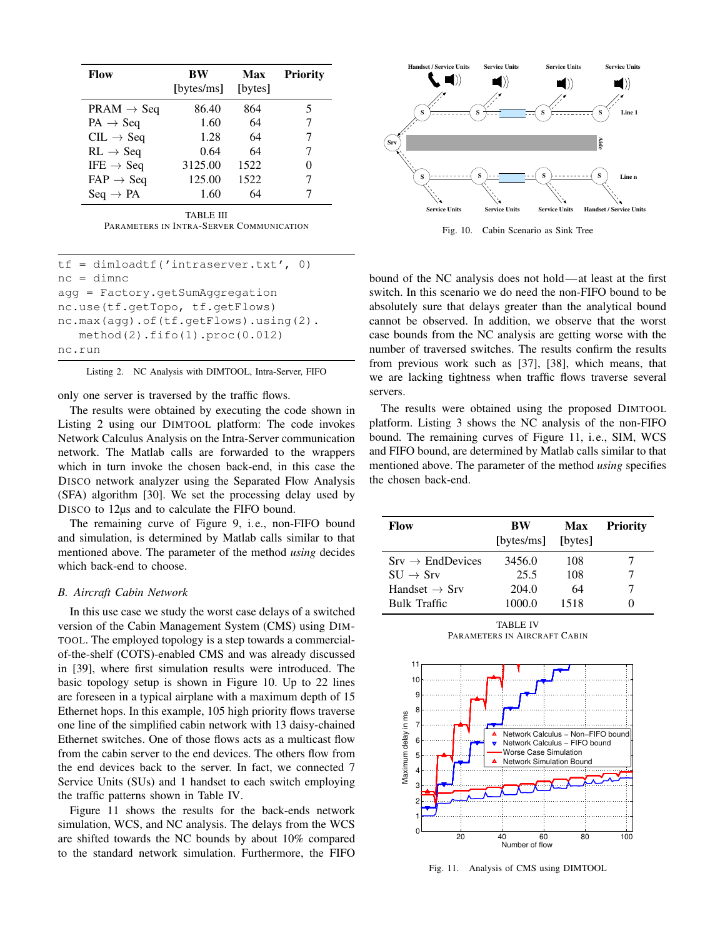| Flow                   | BW<br>[bytes/ms] | Max<br>[bytes] | <b>Priority</b> |
|------------------------|------------------|----------------|-----------------|
| $PRAM \rightarrow Seq$ | 86.40            | 864            | 5               |
| $PA \rightarrow Seq$   | 1.60             | 64             | 7               |
| $CL \rightarrow Seq$   | 1.28             | 64             | 7               |
| $RL \rightarrow Seq$   | 0.64             | 64             |                 |
| IFE $\rightarrow$ Seq  | 3125.00          | 1522           | 0               |
| $FAP \rightarrow Seq$  | 125.00           | 1522           |                 |
| $Seq \rightarrow PA$   | 1.60             | 64             |                 |
|                        | TA DI E HI       |                |                 |

TABLE III PARAMETERS IN INTRA-SERVER COMMUNICATION

```
tf = dimloadtf('intraserver.txt', 0)
nc = dimnc
agg = Factory.getSumAggregation
nc.use(tf.getTopo, tf.getFlows)
nc.max(agg).of(tf.getFlows).using(2).
  method(2).fifo(1).proc(0.012)
nc.run
```
Listing 2. NC Analysis with DIMTOOL, Intra-Server, FIFO

only one server is traversed by the traffic flows.

The results were obtained by executing the code shown in Listing 2 using our DIMTOOL platform: The code invokes Network Calculus Analysis on the Intra-Server communication network. The Matlab calls are forwarded to the wrappers which in turn invoke the chosen back-end, in this case the DISCO network analyzer using the Separated Flow Analysis (SFA) algorithm [30]. We set the processing delay used by DISCO to 12µs and to calculate the FIFO bound.

The remaining curve of Figure 9, i.e., non-FIFO bound and simulation, is determined by Matlab calls similar to that mentioned above. The parameter of the method *using* decides which back-end to choose.

# *B. Aircraft Cabin Network*

In this use case we study the worst case delays of a switched version of the Cabin Management System (CMS) using DIM-TOOL. The employed topology is a step towards a commercialof-the-shelf (COTS)-enabled CMS and was already discussed in [39], where first simulation results were introduced. The basic topology setup is shown in Figure 10. Up to 22 lines are foreseen in a typical airplane with a maximum depth of 15 Ethernet hops. In this example, 105 high priority flows traverse one line of the simplified cabin network with 13 daisy-chained Ethernet switches. One of those flows acts as a multicast flow from the cabin server to the end devices. The others flow from the end devices back to the server. In fact, we connected 7 Service Units (SUs) and 1 handset to each switch employing the traffic patterns shown in Table IV.

Figure 11 shows the results for the back-ends network simulation, WCS, and NC analysis. The delays from the WCS are shifted towards the NC bounds by about 10% compared to the standard network simulation. Furthermore, the FIFO



Fig. 10. Cabin Scenario as Sink Tree

bound of the NC analysis does not hold—at least at the first switch. In this scenario we do need the non-FIFO bound to be absolutely sure that delays greater than the analytical bound cannot be observed. In addition, we observe that the worst case bounds from the NC analysis are getting worse with the number of traversed switches. The results confirm the results from previous work such as [37], [38], which means, that we are lacking tightness when traffic flows traverse several servers.

The results were obtained using the proposed DIMTOOL platform. Listing 3 shows the NC analysis of the non-FIFO bound. The remaining curves of Figure 11, i.e., SIM, WCS and FIFO bound, are determined by Matlab calls similar to that mentioned above. The parameter of the method *using* specifies the chosen back-end.

| Flow                         | BW<br>[bytes/ms] [bytes] | <b>Max</b> | <b>Priority</b> |
|------------------------------|--------------------------|------------|-----------------|
| $Srv \rightarrow$ EndDevices | 3456.0                   | 108        |                 |
| $SU \rightarrow Srv$         | 25.5                     | 108        |                 |
| Handset $\rightarrow$ Srv    | 204.0                    | 64         |                 |
| Bulk Traffic                 | 1000.0                   | 1518       |                 |

TABLE IV PARAMETERS IN AIRCRAFT CABIN



Fig. 11. Analysis of CMS using DIMTOOL